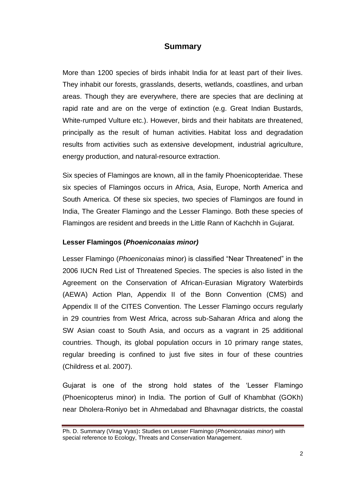# **Summary**

More than 1200 species of birds inhabit India for at least part of their lives. They inhabit our forests, grasslands, deserts, wetlands, coastlines, and urban areas. Though they are everywhere, there are species that are declining at rapid rate and are on the verge of extinction (e.g. Great Indian Bustards, White-rumped Vulture etc.). However, birds and their habitats are threatened, principally as the result of human activities. Habitat loss and degradation results from activities such as extensive development, industrial agriculture, energy production, and natural-resource extraction.

Six species of Flamingos are known, all in the family Phoenicopteridae. These six species of Flamingos occurs in Africa, Asia, Europe, North America and South America. Of these six species, two species of Flamingos are found in India, The Greater Flamingo and the Lesser Flamingo. Both these species of Flamingos are resident and breeds in the Little Rann of Kachchh in Gujarat.

## **Lesser Flamingos (***Phoeniconaias minor)*

Lesser Flamingo (*Phoeniconaias* minor) is classified "Near Threatened" in the 2006 IUCN Red List of Threatened Species. The species is also listed in the Agreement on the Conservation of African-Eurasian Migratory Waterbirds (AEWA) Action Plan, Appendix II of the Bonn Convention (CMS) and Appendix II of the CITES Convention. The Lesser Flamingo occurs regularly in 29 countries from West Africa, across sub-Saharan Africa and along the SW Asian coast to South Asia, and occurs as a vagrant in 25 additional countries. Though, its global population occurs in 10 primary range states, regular breeding is confined to just five sites in four of these countries (Childress et al. 2007).

Gujarat is one of the strong hold states of the "Lesser Flamingo (Phoenicopterus minor) in India. The portion of Gulf of Khambhat (GOKh) near Dholera-Roniyo bet in Ahmedabad and Bhavnagar districts, the coastal

Ph. D. Summary (Virag Vyas)**:** Studies on Lesser Flamingo (*Phoeniconaias minor*) with special reference to Ecology, Threats and Conservation Management.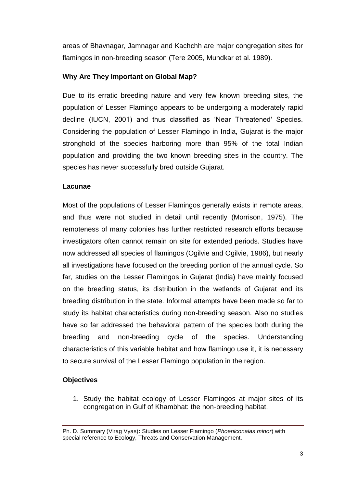areas of Bhavnagar, Jamnagar and Kachchh are major congregation sites for flamingos in non-breeding season (Tere 2005, Mundkar et al. 1989).

## **Why Are They Important on Global Map?**

Due to its erratic breeding nature and very few known breeding sites, the population of Lesser Flamingo appears to be undergoing a moderately rapid decline (IUCN, 2001) and thus classified as "Near Threatened' Species. Considering the population of Lesser Flamingo in India, Gujarat is the major stronghold of the species harboring more than 95% of the total Indian population and providing the two known breeding sites in the country. The species has never successfully bred outside Gujarat.

## **Lacunae**

Most of the populations of Lesser Flamingos generally exists in remote areas, and thus were not studied in detail until recently (Morrison, 1975). The remoteness of many colonies has further restricted research efforts because investigators often cannot remain on site for extended periods. Studies have now addressed all species of flamingos (Ogilvie and Ogilvie, 1986), but nearly all investigations have focused on the breeding portion of the annual cycle. So far, studies on the Lesser Flamingos in Gujarat (India) have mainly focused on the breeding status, its distribution in the wetlands of Gujarat and its breeding distribution in the state. Informal attempts have been made so far to study its habitat characteristics during non-breeding season. Also no studies have so far addressed the behavioral pattern of the species both during the breeding and non-breeding cycle of the species. Understanding characteristics of this variable habitat and how flamingo use it, it is necessary to secure survival of the Lesser Flamingo population in the region.

## **Objectives**

1. Study the habitat ecology of Lesser Flamingos at major sites of its congregation in Gulf of Khambhat: the non-breeding habitat.

Ph. D. Summary (Virag Vyas)**:** Studies on Lesser Flamingo (*Phoeniconaias minor*) with special reference to Ecology, Threats and Conservation Management.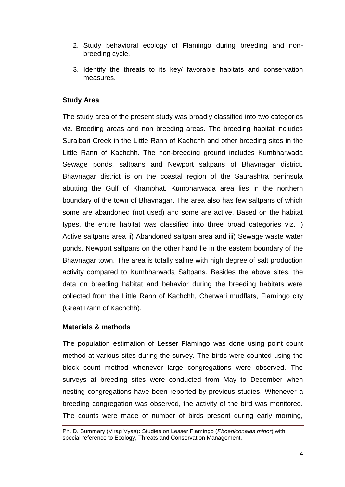- 2. Study behavioral ecology of Flamingo during breeding and nonbreeding cycle.
- 3. Identify the threats to its key/ favorable habitats and conservation measures.

## **Study Area**

The study area of the present study was broadly classified into two categories viz. Breeding areas and non breeding areas. The breeding habitat includes Surajbari Creek in the Little Rann of Kachchh and other breeding sites in the Little Rann of Kachchh. The non-breeding ground includes Kumbharwada Sewage ponds, saltpans and Newport saltpans of Bhavnagar district. Bhavnagar district is on the coastal region of the Saurashtra peninsula abutting the Gulf of Khambhat. Kumbharwada area lies in the northern boundary of the town of Bhavnagar. The area also has few saltpans of which some are abandoned (not used) and some are active. Based on the habitat types, the entire habitat was classified into three broad categories viz. i) Active saltpans area ii) Abandoned saltpan area and iii) Sewage waste water ponds. Newport saltpans on the other hand lie in the eastern boundary of the Bhavnagar town. The area is totally saline with high degree of salt production activity compared to Kumbharwada Saltpans. Besides the above sites, the data on breeding habitat and behavior during the breeding habitats were collected from the Little Rann of Kachchh, Cherwari mudflats, Flamingo city (Great Rann of Kachchh).

## **Materials & methods**

The population estimation of Lesser Flamingo was done using point count method at various sites during the survey. The birds were counted using the block count method whenever large congregations were observed. The surveys at breeding sites were conducted from May to December when nesting congregations have been reported by previous studies. Whenever a breeding congregation was observed, the activity of the bird was monitored. The counts were made of number of birds present during early morning,

Ph. D. Summary (Virag Vyas)**:** Studies on Lesser Flamingo (*Phoeniconaias minor*) with special reference to Ecology, Threats and Conservation Management.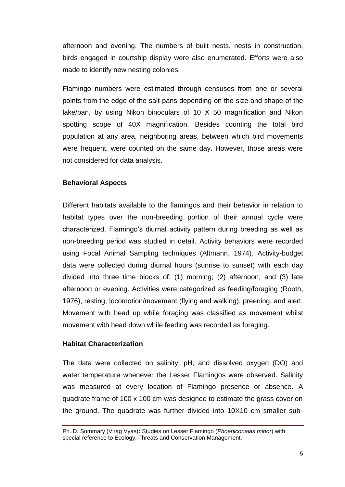afternoon and evening. The numbers of built nests, nests in construction, birds engaged in courtship display were also enumerated. Efforts were also made to identify new nesting colonies.

Flamingo numbers were estimated through censuses from one or several points from the edge of the salt-pans depending on the size and shape of the lake/pan, by using Nikon binoculars of 10 X 50 magnification and Nikon spotting scope of 40X magnification. Besides counting the total bird population at any area, neighboring areas, between which bird movements were frequent, were counted on the same day. However, those areas were not considered for data analysis.

## **Behavioral Aspects**

Different habitats available to the flamingos and their behavior in relation to habitat types over the non-breeding portion of their annual cycle were characterized. Flamingo"s diurnal activity pattern during breeding as well as non-breeding period was studied in detail. Activity behaviors were recorded using Focal Animal Sampling techniques (Altmann, 1974). Activity-budget data were collected during diurnal hours (sunrise to sunset) with each day divided into three time blocks of: (1) morning; (2) afternoon; and (3) late afternoon or evening. Activities were categorized as feeding/foraging (Rooth, 1976), resting, locomotion/movement (flying and walking), preening, and alert. Movement with head up while foraging was classified as movement whilst movement with head down while feeding was recorded as foraging.

## **Habitat Characterization**

The data were collected on salinity, pH, and dissolved oxygen (DO) and water temperature whenever the Lesser Flamingos were observed. Salinity was measured at every location of Flamingo presence or absence. A quadrate frame of 100 x 100 cm was designed to estimate the grass cover on the ground. The quadrate was further divided into 10X10 cm smaller sub-

Ph. D. Summary (Virag Vyas)**:** Studies on Lesser Flamingo (*Phoeniconaias minor*) with special reference to Ecology, Threats and Conservation Management.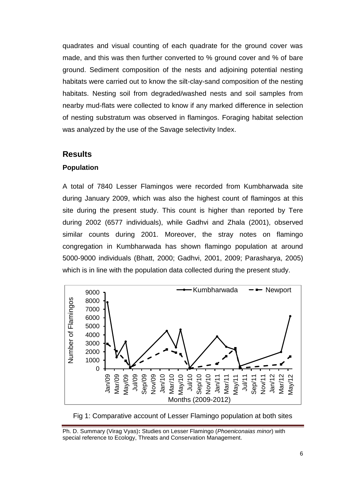quadrates and visual counting of each quadrate for the ground cover was made, and this was then further converted to % ground cover and % of bare ground. Sediment composition of the nests and adjoining potential nesting habitats were carried out to know the silt-clay-sand composition of the nesting habitats. Nesting soil from degraded/washed nests and soil samples from nearby mud-flats were collected to know if any marked difference in selection of nesting substratum was observed in flamingos. Foraging habitat selection was analyzed by the use of the Savage selectivity Index.

## **Results**

#### **Population**

A total of 7840 Lesser Flamingos were recorded from Kumbharwada site during January 2009, which was also the highest count of flamingos at this site during the present study. This count is higher than reported by Tere during 2002 (6577 individuals), while Gadhvi and Zhala (2001), observed similar counts during 2001. Moreover, the stray notes on flamingo congregation in Kumbharwada has shown flamingo population at around 5000-9000 individuals (Bhatt, 2000; Gadhvi, 2001, 2009; Parasharya, 2005) which is in line with the population data collected during the present study.





Ph. D. Summary (Virag Vyas)**:** Studies on Lesser Flamingo (*Phoeniconaias minor*) with special reference to Ecology, Threats and Conservation Management.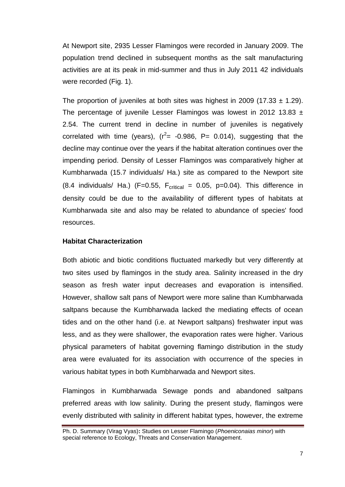At Newport site, 2935 Lesser Flamingos were recorded in January 2009. The population trend declined in subsequent months as the salt manufacturing activities are at its peak in mid-summer and thus in July 2011 42 individuals were recorded (Fig. 1).

The proportion of juveniles at both sites was highest in 2009 (17.33  $\pm$  1.29). The percentage of juvenile Lesser Flamingos was lowest in 2012 13.83  $\pm$ 2.54. The current trend in decline in number of juveniles is negatively correlated with time (years),  $(r^2 = -0.986, P = 0.014)$ , suggesting that the decline may continue over the years if the habitat alteration continues over the impending period. Density of Lesser Flamingos was comparatively higher at Kumbharwada (15.7 individuals/ Ha.) site as compared to the Newport site (8.4 individuals/ Ha.) (F=0.55,  $F_{critical} = 0.05$ , p=0.04). This difference in density could be due to the availability of different types of habitats at Kumbharwada site and also may be related to abundance of species' food resources.

#### **Habitat Characterization**

Both abiotic and biotic conditions fluctuated markedly but very differently at two sites used by flamingos in the study area. Salinity increased in the dry season as fresh water input decreases and evaporation is intensified. However, shallow salt pans of Newport were more saline than Kumbharwada saltpans because the Kumbharwada lacked the mediating effects of ocean tides and on the other hand (i.e. at Newport saltpans) freshwater input was less, and as they were shallower, the evaporation rates were higher. Various physical parameters of habitat governing flamingo distribution in the study area were evaluated for its association with occurrence of the species in various habitat types in both Kumbharwada and Newport sites.

Flamingos in Kumbharwada Sewage ponds and abandoned saltpans preferred areas with low salinity. During the present study, flamingos were evenly distributed with salinity in different habitat types, however, the extreme

Ph. D. Summary (Virag Vyas)**:** Studies on Lesser Flamingo (*Phoeniconaias minor*) with special reference to Ecology, Threats and Conservation Management.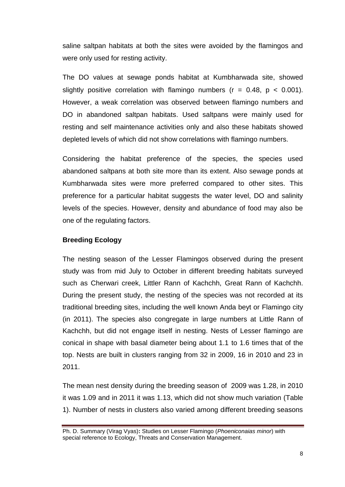saline saltpan habitats at both the sites were avoided by the flamingos and were only used for resting activity.

The DO values at sewage ponds habitat at Kumbharwada site, showed slightly positive correlation with flamingo numbers ( $r = 0.48$ ,  $p < 0.001$ ). However, a weak correlation was observed between flamingo numbers and DO in abandoned saltpan habitats. Used saltpans were mainly used for resting and self maintenance activities only and also these habitats showed depleted levels of which did not show correlations with flamingo numbers.

Considering the habitat preference of the species, the species used abandoned saltpans at both site more than its extent. Also sewage ponds at Kumbharwada sites were more preferred compared to other sites. This preference for a particular habitat suggests the water level, DO and salinity levels of the species. However, density and abundance of food may also be one of the regulating factors.

## **Breeding Ecology**

The nesting season of the Lesser Flamingos observed during the present study was from mid July to October in different breeding habitats surveyed such as Cherwari creek, Littler Rann of Kachchh, Great Rann of Kachchh. During the present study, the nesting of the species was not recorded at its traditional breeding sites, including the well known Anda beyt or Flamingo city (in 2011). The species also congregate in large numbers at Little Rann of Kachchh, but did not engage itself in nesting. Nests of Lesser flamingo are conical in shape with basal diameter being about 1.1 to 1.6 times that of the top. Nests are built in clusters ranging from 32 in 2009, 16 in 2010 and 23 in 2011.

The mean nest density during the breeding season of 2009 was 1.28, in 2010 it was 1.09 and in 2011 it was 1.13, which did not show much variation (Table 1). Number of nests in clusters also varied among different breeding seasons

Ph. D. Summary (Virag Vyas)**:** Studies on Lesser Flamingo (*Phoeniconaias minor*) with special reference to Ecology, Threats and Conservation Management.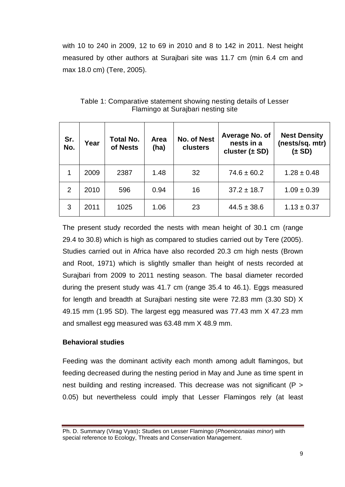with 10 to 240 in 2009, 12 to 69 in 2010 and 8 to 142 in 2011. Nest height measured by other authors at Surajbari site was 11.7 cm (min 6.4 cm and max 18.0 cm) (Tere, 2005).

| Sr.<br>No. | Year | <b>Total No.</b><br>of Nests | Area<br>(ha) | <b>No. of Nest</b><br>clusters | Average No. of<br>nests in a<br>cluster $(\pm SD)$ | <b>Nest Density</b><br>(nests/sq. mtr)<br>$(\pm SD)$ |
|------------|------|------------------------------|--------------|--------------------------------|----------------------------------------------------|------------------------------------------------------|
| 1          | 2009 | 2387                         | 1.48         | 32                             | $74.6 \pm 60.2$                                    | $1.28 \pm 0.48$                                      |
| 2          | 2010 | 596                          | 0.94         | 16                             | $37.2 \pm 18.7$                                    | $1.09 \pm 0.39$                                      |
| 3          | 2011 | 1025                         | 1.06         | 23                             | $44.5 \pm 38.6$                                    | $1.13 \pm 0.37$                                      |

Table 1: Comparative statement showing nesting details of Lesser Flamingo at Surajbari nesting site

The present study recorded the nests with mean height of 30.1 cm (range 29.4 to 30.8) which is high as compared to studies carried out by Tere (2005). Studies carried out in Africa have also recorded 20.3 cm high nests (Brown and Root, 1971) which is slightly smaller than height of nests recorded at Surajbari from 2009 to 2011 nesting season. The basal diameter recorded during the present study was 41.7 cm (range 35.4 to 46.1). Eggs measured for length and breadth at Surajbari nesting site were 72.83 mm (3.30 SD) X 49.15 mm (1.95 SD). The largest egg measured was 77.43 mm X 47.23 mm and smallest egg measured was 63.48 mm X 48.9 mm.

## **Behavioral studies**

Feeding was the dominant activity each month among adult flamingos, but feeding decreased during the nesting period in May and June as time spent in nest building and resting increased. This decrease was not significant (P > 0.05) but nevertheless could imply that Lesser Flamingos rely (at least

Ph. D. Summary (Virag Vyas)**:** Studies on Lesser Flamingo (*Phoeniconaias minor*) with special reference to Ecology, Threats and Conservation Management.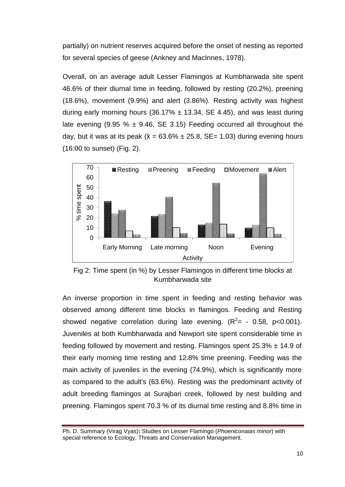partially) on nutrient reserves acquired before the onset of nesting as reported for several species of geese (Ankney and MacInnes, 1978).

Overall, on an average adult Lesser Flamingos at Kumbharwada site spent 46.6% of their diurnal time in feeding, followed by resting (20.2%), preening (18.6%), movement (9.9%) and alert (3.86%). Resting activity was highest during early morning hours (36.17%  $\pm$  13.34, SE 4.45), and was least during late evening (9.95 %  $\pm$  9.46, SE 3.15) Feeding occurred all throughout the day, but it was at its peak ( $\bar{x}$  = 63.6%  $\pm$  25.8, SE= 1.03) during evening hours (16:00 to sunset) (Fig. 2).



Fig 2: Time spent (in %) by Lesser Flamingos in different time blocks at Kumbharwada site

An inverse proportion in time spent in feeding and resting behavior was observed among different time blocks in flamingos. Feeding and Resting showed negative correlation during late evening.  $(R^2 = -0.58, p < 0.001)$ . Juveniles at both Kumbharwada and Newport site spent considerable time in feeding followed by movement and resting. Flamingos spent  $25.3\% \pm 14.9$  of their early morning time resting and 12.8% time preening. Feeding was the main activity of juveniles in the evening (74.9%), which is significantly more as compared to the adult's (63.6%). Resting was the predominant activity of adult breeding flamingos at Surajbari creek, followed by nest building and preening. Flamingos spent 70.3 % of its diurnal time resting and 8.8% time in

Ph. D. Summary (Virag Vyas)**:** Studies on Lesser Flamingo (*Phoeniconaias minor*) with special reference to Ecology, Threats and Conservation Management.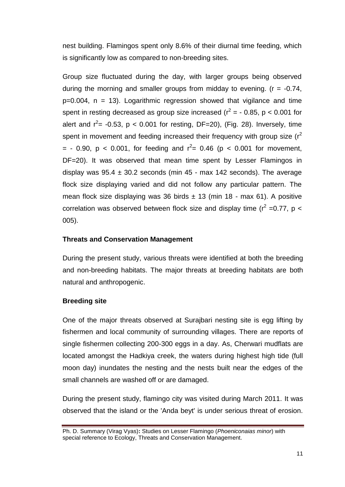nest building. Flamingos spent only 8.6% of their diurnal time feeding, which is significantly low as compared to non-breeding sites.

Group size fluctuated during the day, with larger groups being observed during the morning and smaller groups from midday to evening.  $(r = -0.74, r = 0.74)$  $p=0.004$ ,  $n = 13$ ). Logarithmic regression showed that vigilance and time spent in resting decreased as group size increased ( $r^2$  = - 0.85, p < 0.001 for alert and  $r^2$  = -0.53, p < 0.001 for resting, DF=20), (Fig. 28). Inversely, time spent in movement and feeding increased their frequency with group size ( $r^2$ = - 0.90, p < 0.001, for feeding and  $r^2$  = 0.46 (p < 0.001 for movement, DF=20). It was observed that mean time spent by Lesser Flamingos in display was  $95.4 \pm 30.2$  seconds (min 45 - max 142 seconds). The average flock size displaying varied and did not follow any particular pattern. The mean flock size displaying was 36 birds  $\pm$  13 (min 18 - max 61). A positive correlation was observed between flock size and display time ( $r^2 = 0.77$ , p < 005).

### **Threats and Conservation Management**

During the present study, various threats were identified at both the breeding and non-breeding habitats. The major threats at breeding habitats are both natural and anthropogenic.

#### **Breeding site**

One of the major threats observed at Surajbari nesting site is egg lifting by fishermen and local community of surrounding villages. There are reports of single fishermen collecting 200-300 eggs in a day. As, Cherwari mudflats are located amongst the Hadkiya creek, the waters during highest high tide (full moon day) inundates the nesting and the nests built near the edges of the small channels are washed off or are damaged.

During the present study, flamingo city was visited during March 2011. It was observed that the island or the 'Anda beyt' is under serious threat of erosion.

Ph. D. Summary (Virag Vyas)**:** Studies on Lesser Flamingo (*Phoeniconaias minor*) with special reference to Ecology, Threats and Conservation Management.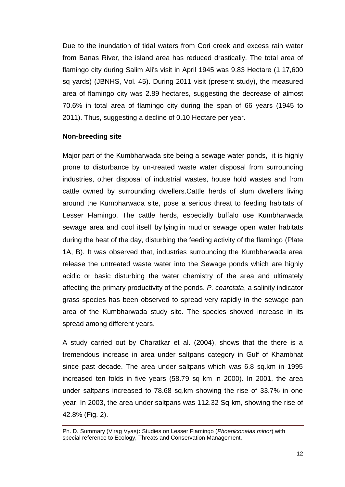Due to the inundation of tidal waters from Cori creek and excess rain water from Banas River, the island area has reduced drastically. The total area of flamingo city during Salim Ali's visit in April 1945 was 9.83 Hectare (1,17,600 sq yards) (JBNHS, Vol. 45). During 2011 visit (present study), the measured area of flamingo city was 2.89 hectares, suggesting the decrease of almost 70.6% in total area of flamingo city during the span of 66 years (1945 to 2011). Thus, suggesting a decline of 0.10 Hectare per year.

### **Non-breeding site**

Major part of the Kumbharwada site being a sewage water ponds, it is highly prone to disturbance by un-treated waste water disposal from surrounding industries, other disposal of industrial wastes, house hold wastes and from cattle owned by surrounding dwellers.Cattle herds of slum dwellers living around the Kumbharwada site, pose a serious threat to feeding habitats of Lesser Flamingo. The cattle herds, especially buffalo use Kumbharwada sewage area and cool itself by lying in mud or sewage open water habitats during the heat of the day, disturbing the feeding activity of the flamingo (Plate 1A, B). It was observed that, industries surrounding the Kumbharwada area release the untreated waste water into the Sewage ponds which are highly acidic or basic disturbing the water chemistry of the area and ultimately affecting the primary productivity of the ponds. *P. coarctata*, a salinity indicator grass species has been observed to spread very rapidly in the sewage pan area of the Kumbharwada study site. The species showed increase in its spread among different years.

A study carried out by Charatkar et al. (2004), shows that the there is a tremendous increase in area under saltpans category in Gulf of Khambhat since past decade. The area under saltpans which was 6.8 sq.km in 1995 increased ten folds in five years (58.79 sq km in 2000). In 2001, the area under saltpans increased to 78.68 sq.km showing the rise of 33.7% in one year. In 2003, the area under saltpans was 112.32 Sq km, showing the rise of 42.8% (Fig. 2).

Ph. D. Summary (Virag Vyas)**:** Studies on Lesser Flamingo (*Phoeniconaias minor*) with special reference to Ecology, Threats and Conservation Management.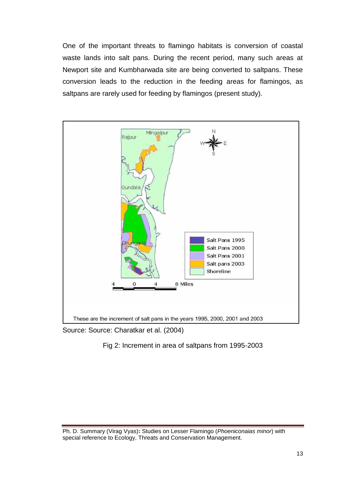One of the important threats to flamingo habitats is conversion of coastal waste lands into salt pans. During the recent period, many such areas at Newport site and Kumbharwada site are being converted to saltpans. These conversion leads to the reduction in the feeding areas for flamingos, as saltpans are rarely used for feeding by flamingos (present study).



Source: Source: Charatkar et al. (2004)

# Fig 2: Increment in area of saltpans from 1995-2003

Ph. D. Summary (Virag Vyas)**:** Studies on Lesser Flamingo (*Phoeniconaias minor*) with special reference to Ecology, Threats and Conservation Management.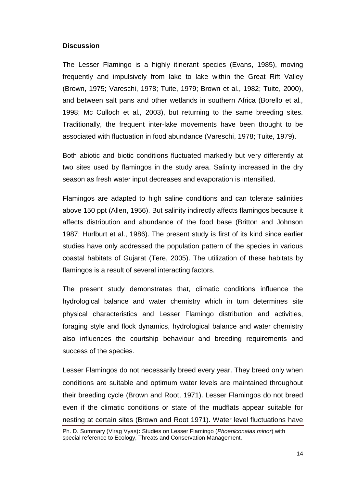#### **Discussion**

The Lesser Flamingo is a highly itinerant species (Evans, 1985), moving frequently and impulsively from lake to lake within the Great Rift Valley (Brown, 1975; Vareschi, 1978; Tuite, 1979; Brown et al., 1982; Tuite, 2000), and between salt pans and other wetlands in southern Africa (Borello et al*.,* 1998; Mc Culloch et al*.,* 2003), but returning to the same breeding sites. Traditionally, the frequent inter-lake movements have been thought to be associated with fluctuation in food abundance (Vareschi, 1978; Tuite, 1979).

Both abiotic and biotic conditions fluctuated markedly but very differently at two sites used by flamingos in the study area. Salinity increased in the dry season as fresh water input decreases and evaporation is intensified.

Flamingos are adapted to high saline conditions and can tolerate salinities above 150 ppt (Allen, 1956). But salinity indirectly affects flamingos because it affects distribution and abundance of the food base (Britton and Johnson 1987; Hurlburt et al., 1986). The present study is first of its kind since earlier studies have only addressed the population pattern of the species in various coastal habitats of Gujarat (Tere, 2005). The utilization of these habitats by flamingos is a result of several interacting factors.

The present study demonstrates that, climatic conditions influence the hydrological balance and water chemistry which in turn determines site physical characteristics and Lesser Flamingo distribution and activities, foraging style and flock dynamics, hydrological balance and water chemistry also influences the courtship behaviour and breeding requirements and success of the species.

Lesser Flamingos do not necessarily breed every year. They breed only when conditions are suitable and optimum water levels are maintained throughout their breeding cycle (Brown and Root, 1971). Lesser Flamingos do not breed even if the climatic conditions or state of the mudflats appear suitable for nesting at certain sites (Brown and Root 1971). Water level fluctuations have

Ph. D. Summary (Virag Vyas)**:** Studies on Lesser Flamingo (*Phoeniconaias minor*) with special reference to Ecology, Threats and Conservation Management.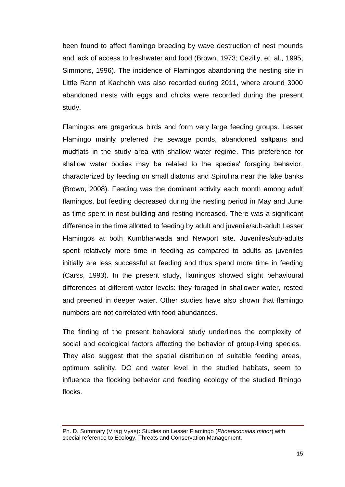been found to affect flamingo breeding by wave destruction of nest mounds and lack of access to freshwater and food (Brown, 1973; Cezilly, et. al., 1995; Simmons, 1996). The incidence of Flamingos abandoning the nesting site in Little Rann of Kachchh was also recorded during 2011, where around 3000 abandoned nests with eggs and chicks were recorded during the present study.

Flamingos are gregarious birds and form very large feeding groups. Lesser Flamingo mainly preferred the sewage ponds, abandoned saltpans and mudflats in the study area with shallow water regime. This preference for shallow water bodies may be related to the species' foraging behavior, characterized by feeding on small diatoms and Spirulina near the lake banks (Brown, 2008). Feeding was the dominant activity each month among adult flamingos, but feeding decreased during the nesting period in May and June as time spent in nest building and resting increased. There was a significant difference in the time allotted to feeding by adult and juvenile/sub-adult Lesser Flamingos at both Kumbharwada and Newport site. Juveniles/sub-adults spent relatively more time in feeding as compared to adults as juveniles initially are less successful at feeding and thus spend more time in feeding (Carss, 1993). In the present study, flamingos showed slight behavioural differences at different water levels: they foraged in shallower water, rested and preened in deeper water. Other studies have also shown that flamingo numbers are not correlated with food abundances.

The finding of the present behavioral study underlines the complexity of social and ecological factors affecting the behavior of group-living species. They also suggest that the spatial distribution of suitable feeding areas, optimum salinity, DO and water level in the studied habitats, seem to influence the flocking behavior and feeding ecology of the studied flmingo flocks.

Ph. D. Summary (Virag Vyas)**:** Studies on Lesser Flamingo (*Phoeniconaias minor*) with special reference to Ecology, Threats and Conservation Management.